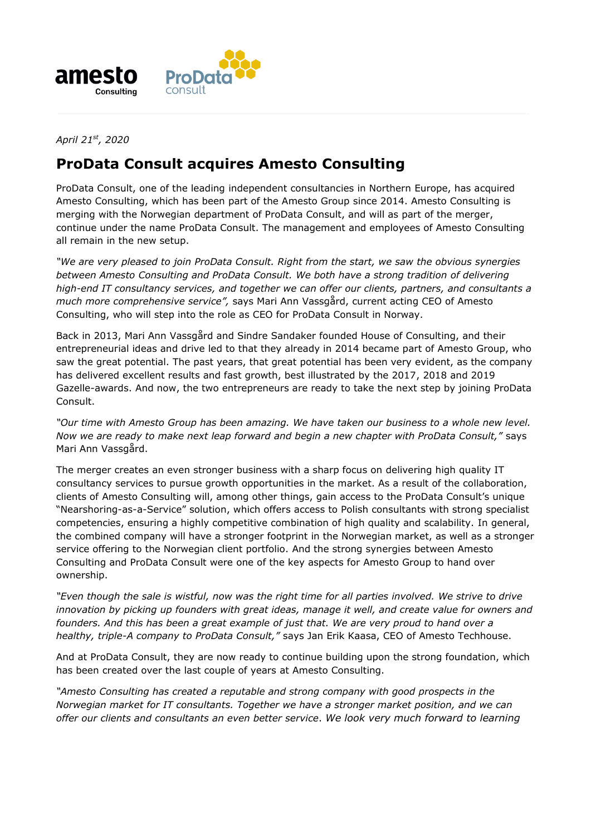

*April 21st, 2020*

## **ProData Consult acquires Amesto Consulting**

ProData Consult, one of the leading independent consultancies in Northern Europe, has acquired Amesto Consulting, which has been part of the Amesto Group since 2014. Amesto Consulting is merging with the Norwegian department of ProData Consult, and will as part of the merger, continue under the name ProData Consult. The management and employees of Amesto Consulting all remain in the new setup.

*"We are very pleased to join ProData Consult. Right from the start, we saw the obvious synergies between Amesto Consulting and ProData Consult. We both have a strong tradition of delivering high-end IT consultancy services, and together we can offer our clients, partners, and consultants a much more comprehensive service",* says Mari Ann Vassgård, current acting CEO of Amesto Consulting, who will step into the role as CEO for ProData Consult in Norway.

Back in 2013, Mari Ann Vassgård and Sindre Sandaker founded House of Consulting, and their entrepreneurial ideas and drive led to that they already in 2014 became part of Amesto Group, who saw the great potential. The past years, that great potential has been very evident, as the company has delivered excellent results and fast growth, best illustrated by the 2017, 2018 and 2019 Gazelle-awards. And now, the two entrepreneurs are ready to take the next step by joining ProData Consult.

*"Our time with Amesto Group has been amazing. We have taken our business to a whole new level. Now we are ready to make next leap forward and begin a new chapter with ProData Consult,"* says Mari Ann Vassgård.

The merger creates an even stronger business with a sharp focus on delivering high quality IT consultancy services to pursue growth opportunities in the market. As a result of the collaboration, clients of Amesto Consulting will, among other things, gain access to the ProData Consult's unique "Nearshoring-as-a-Service" solution, which offers access to Polish consultants with strong specialist competencies, ensuring a highly competitive combination of high quality and scalability. In general, the combined company will have a stronger footprint in the Norwegian market, as well as a stronger service offering to the Norwegian client portfolio. And the strong synergies between Amesto Consulting and ProData Consult were one of the key aspects for Amesto Group to hand over ownership.

*"Even though the sale is wistful, now was the right time for all parties involved. We strive to drive innovation by picking up founders with great ideas, manage it well, and create value for owners and founders. And this has been a great example of just that. We are very proud to hand over a healthy, triple-A company to ProData Consult,"* says Jan Erik Kaasa, CEO of Amesto Techhouse.

And at ProData Consult, they are now ready to continue building upon the strong foundation, which has been created over the last couple of years at Amesto Consulting.

*"Amesto Consulting has created a reputable and strong company with good prospects in the Norwegian market for IT consultants. Together we have a stronger market position, and we can offer our clients and consultants an even better service*. *We look very much forward to learning*